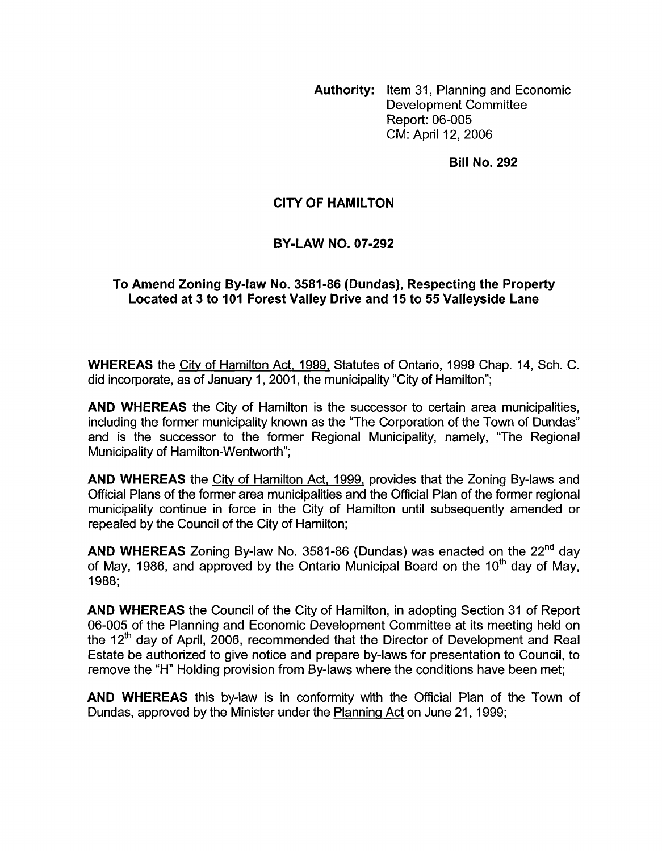**Authority:** Item 31, Planning and Economic Development Committee Report: 06-005 CM: April 12,2006

**Bill No. 292** 

## **CITY OF HAMILTON**

## **BY-LAW NO. 07-292**

## **To Amend Zoning By-law No. 3581-86 (Dundas), Respecting the Property Located at 3 to 101 Forest Valley Drive and 15 to 55 Valleyside Lane**

**WHEREAS** the City of Hamilton Act, 1999, Statutes of Ontario, 1999 Chap. 14, Sch. C. did incorporate, as of January 1, 2001, the municipality "City of Hamilton";

**AND WHEREAS** the City of Hamilton is the successor to certain area municipalities, including the former municipality known as the "The Corporation of the Town of Dundas" and is the successor to the former Regional Municipality, namely, "The Regional Municipality of Hamilton-Wentworth";

**AND WHEREAS** the City of Hamilton Act, 1999, provides that the Zoning By-laws and Official Plans of the former area municipalities and the Official Plan of the former regional municipality continue in force in the City of Hamilton until subsequently amended or repealed by the Council of the City of Hamilton;

**AND WHEREAS** Zoning By-law No. 3581-86 (Dundas) was enacted on the 22"d day of May, 1986, and approved by the Ontario Municipal Board on the 10<sup>th</sup> day of May, 1988;

**AND WHEREAS** the Council of the City of Hamilton, in adopting Section 31 of Report 06-005 of the Planning and Economic Development Committee at its meeting held on the  $12<sup>th</sup>$  day of April, 2006, recommended that the Director of Development and Real Estate be authorized to give notice and prepare by-laws for presentation to Council, to remove the "H" Holding provision from By-laws where the conditions have been met;

**AND WHEREAS** this by-law is in conformity with the Official Plan of the Town of Dundas, approved by the Minister under the Planning Act on June 21,1999;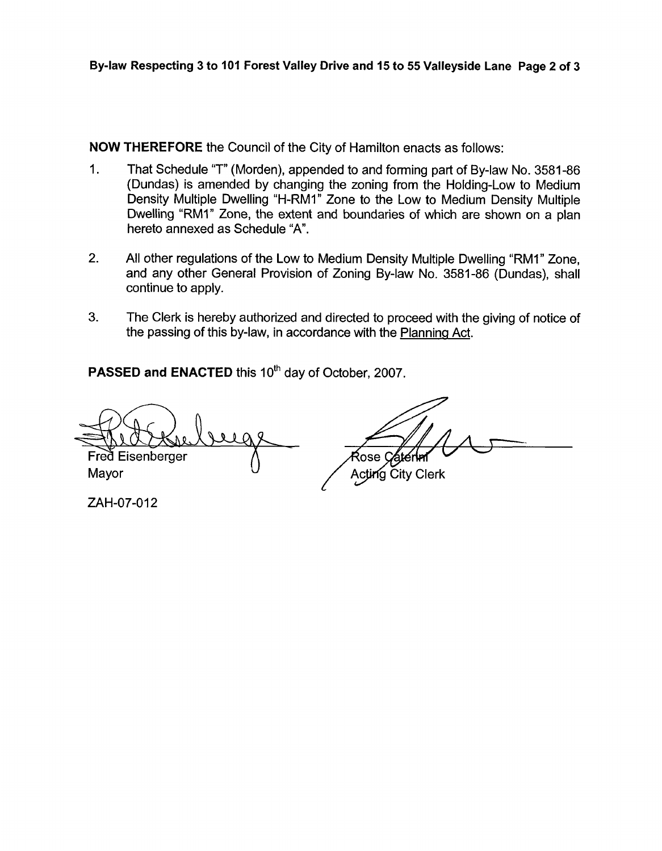**NOW THEREFORE** the Council of the City of Hamilton enacts as follows:

- 1. That Schedule "T" (Morden), appended to and forming part of By-law No. 3581-86 (Dundas) is amended by changing the zoning from the Holding-Low to Medium Density Multiple Dwelling "H-RMI" Zone to the Low to Medium Density Multiple Dwelling "RMI" Zone, the extent and boundaries of which are shown on a plan hereto annexed as Schedule "A".
- 2. **All** other regulations of the Low to Medium Density Multiple Dwelling "RMI" Zone, and any other General Provision of Zoning By-law No. 3581-86 (Dundas), shall continue to apply.
- 3. The Clerk is hereby authorized and directed to proceed with the giving of notice of the passing of this by-law, in accordance with the Planning Act.

**PASSED and ENACTED this 10<sup>th</sup> day of October, 2007.** 

Fred Eisenberger ose Acting City Clerk Mayor

ZAH-07-012